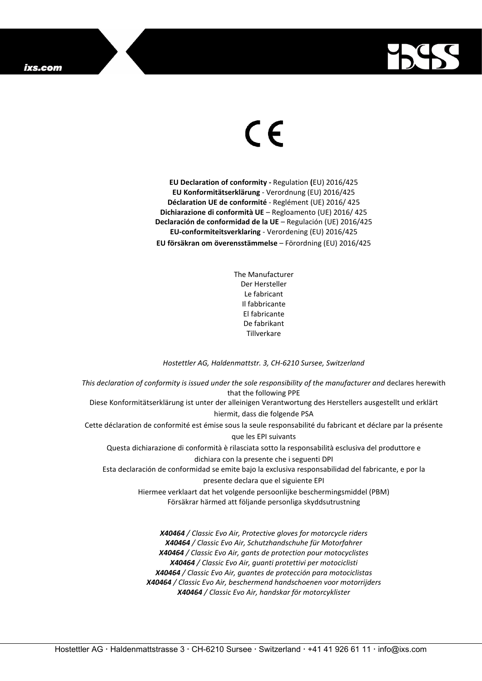

## $\epsilon$

**EU Declaration of conformity -** Regulation **(**EU) 2016/425 **EU Konformitätserklärung** - Verordnung (EU) 2016/425 **Déclaration UE de conformité** - Reglément (UE) 2016/ 425 **Dichiarazione di conformità UE** – Regloamento (UE) 2016/ 425 **Declaración de conformidad de la UE** – Regulación (UE) 2016/425 **EU-conformiteitsverklaring** - Verordening (EU) 2016/425 **EU försäkran om överensstämmelse** – Förordning (EU) 2016/425

> The Manufacturer Der Hersteller Le fabricant Il fabbricante El fabricante De fabrikant Tillverkare

## *Hostettler AG, Haldenmattstr. 3, CH-6210 Sursee, Switzerland*

*This declaration of conformity is issued under the sole responsibility of the manufacturer and* declares herewith that the following PPE Diese Konformitätserklärung ist unter der alleinigen Verantwortung des Herstellers ausgestellt und erklärt hiermit, dass die folgende PSA Cette déclaration de conformité est émise sous la seule responsabilité du fabricant et déclare par la présente que les EPI suivants Questa dichiarazione di conformità è rilasciata sotto la responsabilità esclusiva del produttore e dichiara con la presente che i seguenti DPI Esta declaración de conformidad se emite bajo la exclusiva responsabilidad del fabricante, e por la presente declara que el siguiente EPI Hiermee verklaart dat het volgende persoonlijke beschermingsmiddel (PBM) Försäkrar härmed att följande personliga skyddsutrustning *X40464 / Classic Evo Air, Protective gloves for motorcycle riders*

*X40464 / Classic Evo Air, Schutzhandschuhe für Motorfahrer X40464 / Classic Evo Air, gants de protection pour motocyclistes X40464 / Classic Evo Air, guanti protettivi per motociclisti X40464 / Classic Evo Air, guantes de protección para motociclistas X40464 / Classic Evo Air, beschermend handschoenen voor motorrijders X40464 / Classic Evo Air, handskar för motorcyklister*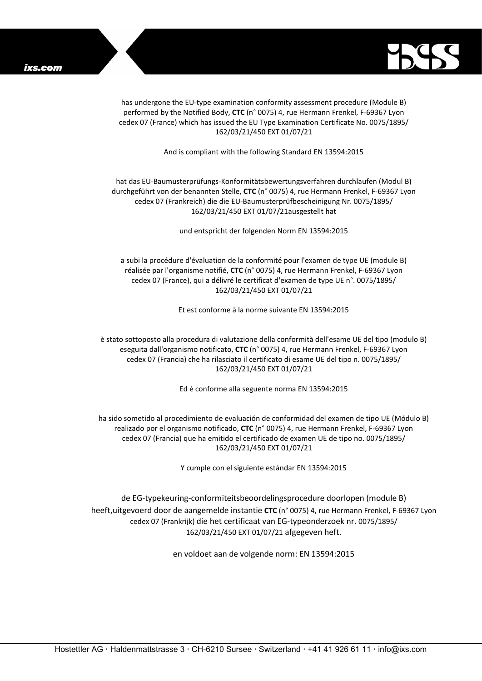

has undergone the EU-type examination conformity assessment procedure (Module B) performed by the Notified Body, **CTC** (n° 0075) 4, rue Hermann Frenkel, F-69367 Lyon cedex 07 (France) which has issued the EU Type Examination Certificate No. 0075/1895/ 162/03/21/450 EXT 01/07/21

And is compliant with the following Standard EN 13594:2015

## hat das EU-Baumusterprüfungs-Konformitätsbewertungsverfahren durchlaufen (Modul B) durchgeführt von der benannten Stelle, **CTC** (n° 0075) 4, rue Hermann Frenkel, F-69367 Lyon cedex 07 (Frankreich) die die EU-Baumusterprüfbescheinigung Nr. 0075/1895/ 162/03/21/450 EXT 01/07/21ausgestellt hat

und entspricht der folgenden Norm EN 13594:2015

a subi la procédure d'évaluation de la conformité pour l'examen de type UE (module B) réalisée par l'organisme notifié, **CTC** (n° 0075) 4, rue Hermann Frenkel, F-69367 Lyon cedex 07 (France), qui a délivré le certificat d'examen de type UE n°. 0075/1895/ 162/03/21/450 EXT 01/07/21

Et est conforme à la norme suivante EN 13594:2015

è stato sottoposto alla procedura di valutazione della conformità dell'esame UE del tipo (modulo B) eseguita dall'organismo notificato, **CTC** (n° 0075) 4, rue Hermann Frenkel, F-69367 Lyon cedex 07 (Francia) che ha rilasciato il certificato di esame UE del tipo n. 0075/1895/ 162/03/21/450 EXT 01/07/21

Ed è conforme alla seguente norma EN 13594:2015

ha sido sometido al procedimiento de evaluación de conformidad del examen de tipo UE (Módulo B) realizado por el organismo notificado, **CTC** (n° 0075) 4, rue Hermann Frenkel, F-69367 Lyon cedex 07 (Francia) que ha emitido el certificado de examen UE de tipo no. 0075/1895/ 162/03/21/450 EXT 01/07/21

Y cumple con el siguiente estándar EN 13594:2015

de EG-typekeuring-conformiteitsbeoordelingsprocedure doorlopen (module B) heeft,uitgevoerd door de aangemelde instantie **CTC** (n° 0075) 4, rue Hermann Frenkel, F-69367 Lyon cedex 07 (Frankrijk) die het certificaat van EG-typeonderzoek nr. 0075/1895/ 162/03/21/450 EXT 01/07/21 afgegeven heft.

en voldoet aan de volgende norm: EN 13594:2015